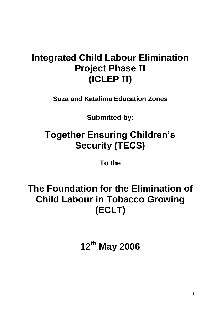## **Integrated Child Labour Elimination Project Phase II (ICLEP II)**

**Suza and Katalima Education Zones**

**Submitted by:**

# **Together Ensuring Children's Security (TECS)**

**To the**

**The Foundation for the Elimination of Child Labour in Tobacco Growing (ECLT)**

**12th May 2006**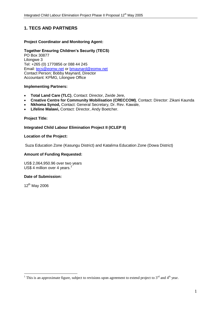## **1. TECS AND PARTNERS**

### **Project Coordinator and Monitoring Agent:**

## **Together Ensuring Children's Security (TECS)**

PO Box 30877 Lilongwe 3 Tel: +265 (0) 1770856 or 088 44 245 Email: [tecs@eomw.net](mailto:tecs@eomw.net) or [bmaynard@eomw.net](mailto:bmaynard@eomw.net) Contact Person: Bobby Maynard, Director Accountant: KPMG, Lilongwe Office

#### **Implementing Partners:**

- **Total Land Care (TLC)**, Contact: Director, Zwide Jere,
- **Creative Centre for Community Mobilisation (CRECCOM)**, Contact: Director: Zikani Kaunda
- **Nkhoma Synod,** Contact: General Secretary, Dr. Rev. Kawale,
- **Lifeline Malawi,** Contact: Director, Andy Boetcher.

#### **Project Title:**

#### **Integrated Child Labour Elimination Project II (ICLEP II)**

#### **Location of the Project:**

Suza Education Zone (Kasungu District) and Katalima Education Zone (Dowa District)

#### **Amount of Funding Requested:**

US\$ 2,064,950.96 over two years US\$ 4 million over 4 years.<sup>1</sup>

#### **Date of Submission:**

12th May 2006

 $\overline{a}$ 

<sup>&</sup>lt;sup>1</sup> This is an approximate figure, subject to revisions upon agreement to extend project to  $3<sup>rd</sup>$  and  $4<sup>th</sup>$  year.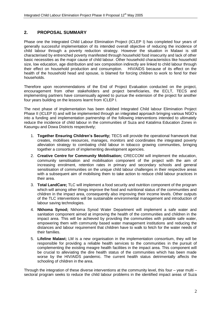## **2. PROPOSAL SUMMARY**

Phase one the Integrated Child Labour Elimination Project (ICLEP I) has completed four years of generally successful implementation of its intended overall objective of reducing the incidence of child labour through a poverty reduction strategy. However the situation in Malawi is still characterised by entrenched poverty manifested through household food insecurity and lack of other basic necessities as the major cause of child labour. Other household characteristics like household size, low education, age distribution and sex composition indirectly are linked to child labour through their effect on household production and consumption. HIV/AIDS because of its effect on the health of the household head and spouse, is blamed for forcing children to work to fend for their households.

Therefore upon recommendations of the End of Project Evaluation conducted on the project, encouragement from other stakeholders and project beneficiaries, the ECLT, TECS and implementing partners have consensually agreed to pursue the extension of the project for another four years building on the lessons learnt from ICLEP I.

The next phase of implementation has been dubbed Integrated Child labour Elimination Project Phase II (ICLEP II) and will be implemented through an integrated approach bringing various NGO"s into a funding and implementation partnership of the following interventions intended to ultimately reduce the incidence of child labour in the communities of Suza and Katalima Education Zones in Kasungu and Dowa Districts respectively;

- 1. **Together Ensuring Children's Security;** TECS will provide the operational framework that creates, mobilises resources, manages, monitors and coordinates the integrated poverty alleviation strategy to combating child labour in tobacco growing communities, bringing together a consortium of implementing development agencies.
- 2. **Creative Centre for Community Mobilisation;** CRECCOM will implement the education, community sensitisation and mobilisation component of the project with the aim of increasing enrolment, retention rates in primary and secondary schools and general sensitisation of communities on the unique child labour challenges in their respective areas with a subsequent aim of mobilising them to take action to reduce child labour practices in their area.
- 3. **Total LandCare;** TLC will implement a food security and nutrition component of the program which will among other things improve the food and nutritional status of the communities and children in the impact area, consequently also improving their income levels. Other outputs of the TLC interventions will be sustainable environmental management and introduction of labour saving technologies.
- 4. **Nkhoma Synod;** Nkhoma Synod Water Department will implement a safe water and sanitation component aimed at improving the health of the communities and children in the impact area. This will be achieved by providing the communities with potable safe water, empowering them with community based water management institutions and reducing the distances and labour requirement that children have to walk to fetch for the water needs of their families.
- 5. **Lifeline Malawi;** LM is a new organisation in the implementation consortium, they will be responsible for providing a reliable health services to the communities in the pursuit of complementing the existing meagre health facilities in the impact area. This component will be crucial to alleviating the dire health status of the communities which has been made worse by the HIV/AIDS pandemic. The current health status detrimentally affects the schooling of children in the area.

Through the integration of these diverse interventions at the community level, this four – year multi – sectoral program seeks to reduce the child labour problems in the identified impact areas of Suza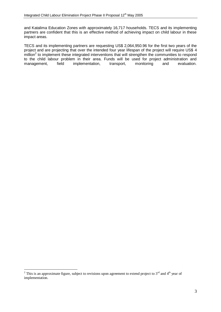and Katalima Education Zones with approximately 16,717 households. TECS and its implementing partners are confident that this is an effective method of achieving impact on child labour in these impact areas.

TECS and its implementing partners are requesting US\$ 2,064,950.96 for the first two years of the project and are projecting that over the intended four year lifespan of the project will require US\$ 4  $m$ illion<sup>2</sup> to implement these integrated interventions that will strengthen the communities to respond to the child labour problem in their area. Funds will be used for project administration and management, field implementation, transport, monitoring and evaluation.

 $\overline{a}$ 

<sup>&</sup>lt;sup>2</sup> This is an approximate figure, subject to revisions upon agreement to extend project to 3<sup>rd</sup> and 4<sup>th</sup> year of implementation.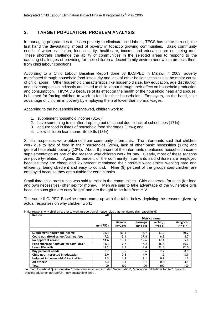## **3. TARGET POPULATION: PROBLEM ANALYSIS**

In managing programmes to lessen poverty to eliminate child labour, TECS has come to recognise first hand the devastating impact of poverty in tobacco growing communities. Basic community needs of water; sanitation, food security, healthcare, income and education are not being met. These shortfalls challenge the ability of communities in the selected areas to respond to the daunting challenges of providing for their children a decent family environment which protects them from child labour conditions.

According to a Child Labour Baseline Report done by ILO/IPEC in Malawi in 2003, poverty manifested through household food insecurity and lack of other basic necessities is the major cause of child labour. Other household characteristics like household size, low education, age distribution and sex composition indirectly are linked to child labour through their effect on household production and consumption. HIV/AIDS because of its effect on the health of the household head and spouse, is blamed for forcing children to work to fend for their households. Employers, on the hand, take advantage of children in poverty by employing them at lower than normal wages.

According to the households interviewed, children work to:

- 1. supplement household income (31%);
- 2. have something to do after dropping out of school due to lack of school fees (17%);
- 3. acquire food in times of household food shortages (13%); and
- 4. allow children learn some life skills (13%)

Similar responses were obtained from community informants. The informants said that children work due to lack of food in their households (20%), lack of other basic necessities (17%) and general household poverty (12%). About 8 percent of the informants mentioned household income supplementation as one of the reasons why children work for pay. Clearly, most of these reasons are poverty-related. Again, 35 percent of the community informants said children are employed because they are cheap and 25 percent mentioned their positive work ethics; working hard and efficiently, being obedient and easy to control. Nine (9) percent of the groups said children are employed because they are suitable for certain tasks.

Small time child prostitution was said to exist in the communities. Girls desperate for cash (for food and own necessities) offer sex for money. Men are said to take advantage of the vulnerable girls because such girls are easy "to get" and are thought to be free from HIV.

The same ILO/IPEC Baseline report came up with the table below depicting the reasons given by actual responses on why children work;

| Reason                                | All        |               |           |           |           |
|---------------------------------------|------------|---------------|-----------|-----------|-----------|
|                                       |            | District name |           |           |           |
|                                       |            | <b>Mzimba</b> | Kasungu   | Mchinii   | Mangochi  |
|                                       | $(n=1753)$ | $(n=259)$     | $(n=514)$ | $(n=566)$ | $(n=414)$ |
|                                       |            |               |           |           |           |
| Supplement household income           | 31.4       | 59.1          | 16.7      | 33.0      | 30.2      |
| Could not afford school/training fees | 17.2       | 13.1          | 37.4      | 6.9       | 8.7       |
| No apparent reason                    | 14.6       | 13.1          | 19.6      | 17.1      | 5.8       |
| Food shortage "ophunzitsi sophikira"  | 13.4       | 2.7           | 14.2      | 16.3      | 15.2      |
| Learn life skills                     | 13.2       | 2.7           | 1.4       | 22.3      | 22.0      |
| <b>Buy personal needs</b>             | 3.7        | 3.5           | 0.6       | 2.7       | 8.9       |
| Child not interested in education     | 2.9        | 0.8           | 4.9       | 1.2       | 3.9       |
| Help out in household IGA activities  | 1.3        | 1.9           | 2.1       | 0.2       | 1.2       |
| All others*                           | 2.3        | 3.1           | 3.1       | 0.3       | 4.1       |
| Total                                 | 100        | 100           | 100       | 100       | 100       |

Major reasons why children are let to work (proportion of households that mentioned this reason in %)

**Source: Household Questionnaire** \* these were small and included 'socialisation', 'education institutions too far', 'parents thought education not useful', 'pay outstanding debt'.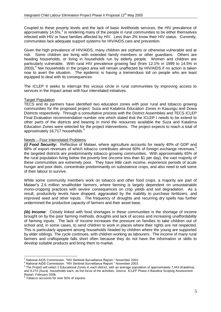Coupled to these poverty levels and the lack of basic livelihoods services, the HIV prevalence of approximately 14.5%, $3$  is rendering many of the people in rural communities to be either themselves infected with HIV or have families affected by HIV. Less than 3% know their HIV status. Currently, communities lack adequate support systems for HIV/AIDS care and prevention.

Given the high prevalence of HIV/AIDS, many children are orphans or otherwise vulnerable and at risk. Some children are living with extended family members or other guardians. Others are heading households, or living in households run by elderly people. Women and children are particularly vulnerable. With rural HIV prevalence growing fast (from 12.1% in 1999 to 14.5% in  $2003$ ,<sup>4</sup> few households in the project area will remain unaffected by HIV/AIDS if no action is taken now to avert the situation. The epidemic is having a tremendous toll on people who are least equipped to deal with its consequences

The ICLEP II seeks to interrupt this vicious circle in rural communities by improving access to services in the impact areas with four interrelated initiatives.

#### Target Population

TECS and its partners have identified two education zones with poor rural and tobacco growing communities for the proposed project: Suza and Katalima Education Zones in Kasungu and Dowa Districts respectively. Through a consultative process with the District Assemblies and TECS ICLEP Final Evaluation recommendation number one which stated that the ICLEP I needs to be extend to other parts of the districts and bearing in mind the resources available the Suza and Katalima Education Zones were selected for the project interventions. The project expects to reach a total of approximately 16,717 households.<sup>5</sup>

#### Needs – Four Interrelated Problems

*(i) Food Security:* Reflective of Malawi, where [agriculture](http://www.nationmaster.com/cat/Agriculture) accounts for nearly 40% of [GDP](http://www.nationmaster.com/graph-T/eco_gdp) and  $88\%$  of export revenues of which tobacco contributes almost 60% of foreign exchange revenues,  $60\%$ the targeted districts are predominantly tobacco growing communities. With approximately 65% of the rural population living below the poverty line (income less than \$1 per day), the vast majority of these communities are extremely poor. They have little cash income, experience periods of acute hunger and poor diets, concentrate predominantly on subsistence crops, and also need to sell some of their labour to survive.

While some community members work on tobacco and other food crops, a majority are part of Malawi"s 2.6 million smallholder farmers, where farming is largely dependent on unsustainable mono-cropping practices with severe consequences on crop yields and soil degradation. As a result, productivity levels have dropped, aggravated by the inability to purchase fertilizers, and improved seed and other inputs. The frequency of droughts and recurring dry spells has further undermined the productive capacity of farmers and their asset base.

*(ib) Income:* Closely linked with food shortages in these communities is the shortage of income brought on by the poor farming methods, droughts and lack of access and increasing unaffordability of farming inputs. The lack of income increases the pressure on families to take children out of school and, in some cases, to send children to work in places where their rights are not respected. This is particularly apparent among households headed by children where the young are supported by elder siblings. The cycle continues, with children working as labourers. The income of many rural farmers and craftspeople falls short often because they do not have the information or skills to develop suitable products and bring them to market.

 $\overline{a}$ <sup>3</sup> National AIDS Commission. "HIV Sentinel Surveillance Report." November 2003.

<sup>4</sup> National AIDS Commission. "HIV Sentinel Surveillance Report." November 2003.

<sup>&</sup>lt;sup>5</sup> The Project will select 2 Educational Zones in each district, with an average population of approximately 7,443 (Katalima) and 9,274 (Suza) households each, as the focus of the activities. Source ICLEP Phase II Baseline Scoping Assessment Report. February 2006.

<sup>6</sup> Tobacco accounts for over 50% of [exports.](http://www.nationmaster.com/graph-T/eco_exp)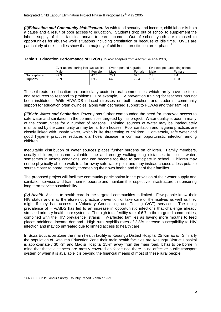*(ii)Education and Community Mobilisation.* As with food security and income, child labour is both a cause and a result of poor access to education. Students drop out of school to supplement the labour supply of their families and/or to earn income. Out of school youth are exposed to opportunities for abusive work situations including prostitution or because of idle time. OVCs are particularly at risk; studies show that a majority of children in prostitution are orphans.<sup>7</sup>

| fable 1: Education Performance of OVCs (Source: adapted from Kadzamila et al 2001) |  |
|------------------------------------------------------------------------------------|--|
|------------------------------------------------------------------------------------|--|

|             | Ever absent during last two weeks |        | Ever repeated a grade |        | Ever stopped attending school |        |
|-------------|-----------------------------------|--------|-----------------------|--------|-------------------------------|--------|
|             | Male                              | Female | Male                  | Female | Male                          | Female |
| Non orphans | 49.3                              | 47.5   | 70.1                  | 67.1   |                               | 3.4    |
| Orphans     | 53.9                              | 59.2   | 64.0                  | 72.4   | 13.5                          | 16.3   |
|             |                                   |        |                       |        |                               |        |

These threats to education are particularly acute in rural communities, which rarely have the tools and resources to respond to problems. For example, HIV prevention training for teachers has not been instituted. With HIV/AIDS-induced stresses on both teachers and students, community support for education often dwindles, along with decreased support to PLWAs and their families.

*(iii)Safe Water and Sanitation.* Poverty has further compounded the need for improved access to safe water and sanitation in the communities targeted by this project. Water quality is poor in many of the communities for a number of reasons. Existing sources of water may be inadequately maintained by the community or may be far from houses. Poor sanitation and hygiene practices are closely linked with unsafe water, which is life threatening to children. Conversely, safe water and good hygiene practices reduces diarrhoeal disease, a common opportunistic infection among children.

Inequitable distribution of water sources places further burdens on children. Family members, usually children, consume valuable time and energy walking long distances to collect water, sometimes in unsafe conditions, and can become too tired to participate in school. Children may not be physically able to walk to a far-away safe water point and may instead choose a less potable source closer to home, thereby threatening their own health and that of their families.

The proposed project will facilitate community participation in the provision of their water supply and sanitation services and train them to operate and maintain the respective infrastructure this ensuring long term service sustainability.

*(iv) Health*. Access to health care in the targeted communities is limited. Few people know their HIV status and may therefore not practice prevention or take care of themselves as well as they might if they had access to Voluntary Counselling and Testing (VCT) services. The rising prevalence of HIV/AIDS has led to an increase in opportunistic infections that challenge already stressed primary health care systems. The high total fertility rate of 6.7 in the targeted communities, combined with the HIV prevalence, strains HIV-affected families as having more mouths to feed places additional income demand. High rural syphilis rates of 2.8% increase susceptibility to HIV infection and may go untreated due to limited access to health care.

In Suza Education Zone the main health facility is Kasungu District Hospital 25 Km away. Similarly the population of Katalima Education Zone their main health facilities are Kasungu District Hospital is approximately 30 Km and Madisi Hospital 15km away from the main road. It has to be borne in mind that these distances are mostly covered on foot since there is no effective public transport system or when it is available it is beyond the financial means of most of these rural people.

 $\overline{a}$ 

 $<sup>7</sup>$  UNICEF. Child Labour Survey. Country Report. Zambia 1999.</sup>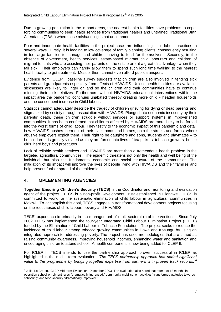Due to growing population in the impact areas, the nearest health facilities have problems to cope, forcing communities to seek health services from traditional healers and untrained Traditional Birth Attendants (TBAs) where case mishandling is not uncommon.

Poor and inadequate health facilities in the project areas are influencing child labour practices in several ways. Firstly, it is leading to low coverage of family planning clients, consequently resulting in too large families to manage and children having to fend for themselves. Secondly, in the absence of government, health services; estate-based migrant child labourers and children of migrant tenants who are assisting their parents on the estate are at a great disadvantage when they fall sick. Their employers can hardly allow them to spend such long time walking to the nearest health facility to get treatment. Most of them cannot even afford public transport.

Evidence from ICLEP I baseline survey suggests that children are also involved in tending sick parents and grandparents especially from effects of HIV/AIDS. Unless health facilities are available, sicknesses are likely to linger on and so the children and their communities have to continue minding their sick relatives. Furthermore without HIV/AIDS educational interventions within the impact area the pandemic continues unabated thereby creating more child - headed households and the consequent increase in Child labour.

Statistics cannot adequately describe the tragedy of children grieving for dying or dead parents and stigmatized by society through association with HIV/AIDS. Plunged into economic insecurity by their parents" death, these children struggle without services or support systems in impoverished communities. It has been confirmed that children affected by HIV/AIDS are more likely to be forced into the worst forms of child labour. They testify to the economic impact of this pandemic and detail how HIV/AIDS pushes them out of their classrooms and homes, onto the streets and farms, where abusive employers exploit them. Their right to be daughters and sons, students and playmates – to be children – is grossly violated as they are forced into lives of tea pickers, tobacco growers, house girls, herd boys and prostitutes.

Lack of reliable health services and HIV/AIDS are more than a tremendous health problem in the targeted agricultural communities. The epidemic threatens not only the health and well being of the individual, but also the fundamental economic and social structure of the communities. The mitigation of its impact will improve the lives of people living with HIV/AIDS and their families and help prevent further spread of the epidemic.

## **4. IMPLEMENTING AGENCIES**

 $\overline{a}$ 

**Together Ensuring Children's Security (TECS)** is the Coordinator and monitoring and evaluation agent of the project. TECS is a non-profit Development Trust established in Lilongwe. TECS is committed to work for the systematic elimination of child labour in agricultural communities in Malawi. To accomplish this goal, TECS engages in transformational development projects focusing on the root causes of child labour: poverty and HIV/AIDS.

TECS" experience is primarily in the management of multi-sectoral rural interventions. Since July 2002 TECS has implemented the four-year Integrated Child Labour Elimination Project (ICLEP) funded by the Elimination of Child Labour in Tobacco Foundation. The project seeks to reduce the incidence of child labour among tobacco growing communities in Dowa and Kasungu by using an integrated approach to addressing poverty. The project has used methodologies that are aimed at: raising community awareness, improving household incomes, enhancing water and sanitation and encouraging children to attend school. A health component is now being added to ICLEP II.

For ICLEP II, TECS intends to use the partnership approach proven successful in ICLEP as highlighted in the mid – term evaluation: *"The TECS partnership approach has added significant value to the programme by bringing together expertise from partners with proven track records."<sup>8</sup>*

<sup>&</sup>lt;sup>8</sup> Juliet Le Breton. ICLEP Mid-term Evaluation. December 2003. The evaluation also noted that after just 18 months in operation school enrolment rates "dramatically increased," community mobilisation activities "transformed attitudes towards schooling" and food security "dramatically improved."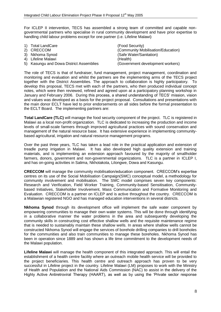For ICLEP II intervention, TECS has assembled a strong team of committed and capable nongovernmental partners who specialise in rural community development and have prior expertise to handling child labour problems except for one partner (i.e. Lifeline Malawi)

| (Community Mobilisation/Education) |
|------------------------------------|
|                                    |
|                                    |
| (Government development workers)   |
|                                    |

The role of TECS is that of fundraiser, fund management, project management, coordination and monitoring and evaluation and whilst the partners are the implementing arms of the TECS project together with the District Assemblies. The approach to collaboration is highly participatory. To develop this proposal, TECS met with each of the partners, who then produced individual concept notes, which were then reviewed, refined and agreed upon at a participatory planning workshop in January and February 2006. During this process, a shared understanding of TECS" mission, vision and values was developed as a basis for the project proposal. Consultations and presentations with the main donor ECLT have led to prior endorsements on all sides before the formal presentation to the ECLT Board. The implementing partners are:

**Total LandCare (TLC)** will manage the food security component of the project. TLC is registered in Malawi as a local non-profit organization. TLC is dedicated to increasing the production and income levels of small-scale farmers through improved agricultural practices with sound conservation and management of the natural resource base. It has extensive experience in implementing communitybased agricultural, irrigation and natural resource management programs.

Over the past three years, TLC has taken a lead role in the practical application and extension of treadle pump irrigation in Malawi. It has also developed high quality extension and training materials, and is implementing an extension approach favoured by the majority of smallholder farmers, donors, government and non-governmental organizations. TLC is a partner in ICLEP I, and has on-going activities in Salima, Nkhotakota, Lilongwe, Dowa and Kasungu.

**CRECCOM** will manage the community mobilisation/education component. CRECCOM"s expertise centres on its use of the Social Mobilisation Campaign(SMC) conceptual model, a methodology for community involvement and mobilisation. The SMC model comprises seven key components: Research and Verification, Field Worker Training, Community-based Sensitisation, Communitybased Initiatives, Stakeholder Involvement, Mass Communication and Formative Monitoring and Evaluation. CRECCOM is a partner on ICLEP and is active throughout the country. CRECCOM is a Malawian registered NGO and has managed education interventions in several districts.

**Nkhoma Synod** through its development office will implement the safe water component by empowering communities to manage their own water systems. This will be done through identifying in a collaborative manner the water problems in the area and subsequently developing the community skills in constructing cost effective shallow wells and the requisite maintenance regime that is needed to sustainably maintain these shallow wells. In areas where shallow wells cannot be constructed Nkhoma Synod will engage the services of borehole drilling companies to drill boreholes for the communities and also train communities to manage these boreholes. Nkhoma Synod has been in operation since 1889 and has shown a life time commitment to the development needs of the Malawi population.

**Lifeline Malawi** will manage the health component of this integrated approach. This will entail the establishment of a health centre facility where an outreach mobile health service will be provided to the project beneficiaries. This health centre and outreach approach has proven to be very successful in Lifeline project in the country. Lifeline Malawi (LM) proposes to work with the Ministry of Health and Population and the National Aids Commission (NAC) to assist in the delivery of the Highly Active Antiretroviral Therapy (HAART), as well as by using the "Private sector response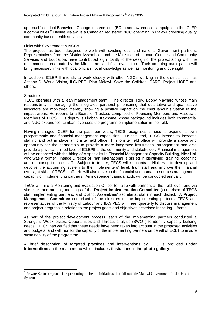approach" conduct Behavioral Change interventions (BCIs) and awareness campaigns in the ICLEP II communities.<sup>9</sup> Lifeline Malawi is a Canadian registered NGO operating in Malawi providing quality community based health services.

#### Links with Government & NGOs

The project has been designed to work with existing local and national Government partners. Representatives from the District Assemblies and the Ministries of Labour, Gender and Community Services and Education, have contributed significantly to the design of the project along with the recommendations made by the Mid – term and final evaluation. Their on-going participation will bring necessary links with local officials, local knowledge as well as monitoring and oversight.

In addition, ICLEP II intends to work closely with other NGOs working in the districts such as ActionAID, World Vision, ILO/IPEC, Plan Malawi, Save the Children, CARE, Project HOPE and others.

#### **Structure**

 $\overline{a}$ 

TECS operates with a lean management team. The director, Rev. Bobby Maynard whose main responsibility is managing the integrated partnership, ensuring that qualitative and quantitative indicators are monitored thereby showing a positive impact on the child labour situation in the impact areas. He reports to a Board of Trustees comprised of Founding Members and Associate Members of TECS. His deputy is Limbani Kakhome whose background includes both commercial and NGO experience; Limbani oversees the programme implementation in the field.

Having managed ICLEP for the past four years, TECS recognises a need to expand its own programmatic and financial management capabilities. To this end, TECS intends to increase staffing and put in place an onsite field office. This onsite field office will provide a space and opportunity for the partnership to provide a more integrated institutional arrangement and also provide a physical unified face of ICLEPII to the community and stakeholder. Financial management will be enhanced with the hiring of a specialist in Financial Management Capacity Building, Nick Hall who was a former Finance Director of Plan International is skilled in identifying, training, coaching and mentoring finance staff. Subject to tender, TECS will subcontract Nick Hall to develop and devolve the accounting system to the implementers" level, train staff and improve the financial oversight skills of TECS staff. He will also develop the financial and human resources management capacity of implementing partners. An independent annual audit will be conducted annually.

TECS will hire a Monitoring and Evaluation Officer to liaise with partners at the field level, and via site visits and monthly meetings of the **Project Implementation Committee** (comprised of TECS staff, implementing partners, and District Assemblies" secretariat staff) in each district. A **Project Management Committee** comprised of the directors of the implementing partners, TECS and representatives of the Ministry of Labour and ILO/IPEC will meet quarterly to discuss management and project progress in relation to the project goals and objectives described in the log – frame.

As part of the project development process, each of the implementing partners conducted a Strengths, Weaknesses, Opportunities and Threats analysis (SWOT) to identify capacity building needs. TECS has verified that these needs have been taken into account in the proposed activities and budgets, and will monitor the capacity of the implementing partners on behalf of ECLT to ensure sustainability of the programme.

A brief description of targeted practices and interventions by TLC is provided under **Interventions** in the main menu which includes illustrations in the **photo gallery**.

<sup>&</sup>lt;sup>9</sup> Private Sector response is representing all health initiatives that fall outside Malawi Government Public Health System.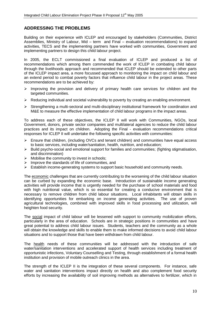## **ADDRESSING THE PROBLEMS**

Building on their experience with ICLEP and encouraged by stakeholders (Communities, District Assemblies, Ministry of Labour, Mid – term and Final – evaluation recommendations) to expand activities, TECS and the implementing partners have worked with communities, Government and implementing partners to design this child labour project.

In 2005, the ECLT commissioned a final evaluation of ICLEP and produced a list of recommendations which among them commended the work of ICLEP in combating child labour through the livelihoods approach and recommended that ICLEP should be extended to other parts of the ICLEP impact area, a more focussed approach to monitoring the impact on child labour and an extend period to combat poverty factors that influence child labour in the project areas. These recommendations are to be achieved by:

- $\triangleright$  Improving the provision and delivery of primary health care services for children and the targeted communities.
- $\triangleright$  Reducing individual and societal vulnerability to poverty by creating an enabling environment.
- $\triangleright$  Strengthening a multi-sectoral and multi-disciplinary institutional framework for coordination and M&E to measure the effective implementation of child labour programs in the impact areas.

To address each of these objectives, the ICLEP II will work with Communities, NGOs, local Government, donors, private sector companies and multilateral agencies to reduce the child labour practices and its impact on children. Adopting the Final - evaluation recommendations critical responses for ICLEP II will undertake the following specific activities with communities:

- $\triangleright$  Ensure that children, (including OVCs and tenant children) and communities have equal access to basic services, including water/sanitation, health, nutrition, and education;
- $\triangleright$  Build psycho-social and emotional support for families and communities; (fighting stigmatisation, and discrimination)
- $\triangleright$  Mobilise the community to invest in schools:
- $\triangleright$  Improve the standards of life of communities, and
- $\triangleright$  Establish income-generating systems to support basic household and community needs.

The economic challenges that are currently contributing to the worsening of the child labour situation can be curbed by expanding the economic base. Introduction of sustainable income generating activities will provide income that is urgently needed for the purchase of school materials and food with high nutritional value, which is so essential for creating a conducive environment that is necessary to remove children from child labour situations. Local inhabitants will obtain skills in identifying opportunities for embarking on income generating activities. The use of proven agricultural technologies, combined with improved skills in food processing and utilization, will heighten food security.

The social impact of child labour will be lessened with support to community mobilization efforts, particularly in the area of education. Schools are in strategic positions in communities and have great potential to address child labour issues. Students, teachers and the community as a whole will obtain the knowledge and skills to enable them to make informed decisions to avoid child labour situations and to support those that have been withdrawn from child labour.

The health needs of these communities will be addressed with the introduction of safe water/sanitation interventions and accelerated support of health services including treatment of opportunistic infections, Voluntary Counselling and Testing, through establishment of a formal health institution and provision of mobile outreach clinics in the area.

The strength of the ICLEP II is the integration of these several components. For instance, safe water and sanitation interventions impact directly on health and also complement food security efforts by increasing the availability of soil improving methods as alternatives to fertilizer, which in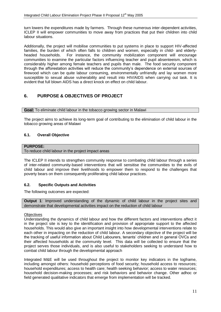turn lowers the expenditures made by farmers. Through these numerous inter-dependent activities, ICLEP II will empower communities to move away from practices that put their children into child labour situations.

Additionally, the project will mobilise communities to put systems in place to support HIV-affected families, the burden of which often falls to children and women, especially in child- and elderlyheaded households. For instance, the community mobilization component will encourage communities to examine the particular factors influencing teacher and pupil absenteeism, which is considerably higher among female teachers and pupils than male. The food security component through the afforestation activities will reduce the community"s dependence on external sources of firewood which can be quite labour consuming, environmentally unfriendly and lay women more susceptible to sexual abuse vulnerability and result into HIV/AIDS when carrying out task. It is evident that full blown AIDS has a direct knock on effect on child labour.

## **6. PURPOSE & OBJECTIVES OF PROJECT**

**Goal:** To eliminate child labour in the tobacco growing sector in Malawi

The project aims to achieve its long-term goal of contributing to the elimination of child labour in the tobacco growing areas of Malawi

## **6.1. Overall Objective**

## **PURPOSE:**

To reduce child labour in the project impact areas

The ICLEP II intends to strengthen community response to combating child labour through a series of inter-related community-based interventions that will sensitise the communities to the evils of child labour and improve their livelihoods to empower them to respond to the challenges that poverty bears on them consequently proliferating child labour practices.

## **6.2. Specific Outputs and Activities**

The following outcomes are expected:

**Output 1**: Improved understanding of the dynamic of child labour in the project sites and demonstrate that developmental activities impact on the reduction of child labour

## **Objectives**

Understanding the dynamics of child labour and how the different factors and interventions affect it in the project site is key to the identification and provision of appropriate support to the affected households. This would also give an important insight into how developmental interventions relate to each other in impacting on the reduction of child labour. A secondary objective of the project will be the tracking of useful information about Child Labourers, tenants" children and in general OVCs and their affected households at the community level. This data will be collected to ensure that the project serves those individuals, and is also useful to stakeholders seeking to understand how to combat child labour through the developmental approach

Integrated M&E will be used throughout the project to monitor key indicators in the logframe, including amongst others: household perceptions of food security; household access to resources; household expenditures; access to health care; health seeking behavior; access to water resources; household decision-making processes; and risk behaviors and behavior change. Other adhoc or field generated qualitative indicators that emerge from implementation will be tracked.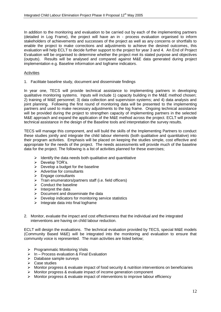In addition to the monitoring and evaluation to be carried out by each of the implementing partners (detailed in Log Frame), the project will have an in - process evaluation organised to inform stakeholders of achievements and successes of the project as well as any concerns or shortfalls to enable the project to make corrections and adjustments to achieve the desired outcomes, this evaluation will help ECLT to decide further support to the project for year 3 and 4. An End of Project Evaluation will be organised to determine whether the project met its stated purpose and objectives (outputs). Results will be analysed and compared against M&E data generated during project implementation e.g. Baseline information and logframe indicators.

#### Activities

1. Facilitate baseline study, document and disseminate findings

In year one, TECS will provide technical assistance to implementing partners in developing qualitative monitoring systems. Inputs will include 1) capacity building in the M&E method chosen; 2) training of M&E personnel; 3) data collection and supervision systems; and 4) data analysis and joint planning. Following the first round of monitoring data will be presented to the implementing partners and used to make necessary adjustments to the log frame. Ongoing technical assistance will be provided during the project to strengthen capacity of implementing partners in the selected M&E approach and expand the application of the M&E method across the project. ECLT will provide technical assistance in the design of the Baseline tools and interpretation the survey results.

TECS will manage this component, and will build the skills of the Implementing Partners to conduct these studies jointly and integrate the child labour elements (both qualitative and quantitative) into their program activities. Emphasis will be placed on keeping the studies simple, cost effective and appropriate for the needs of the project. The needs assessments will provide much of the baseline data for the project. The following is a list of activities planned for these exercises;

- $\triangleright$  Identify the data needs both qualitative and quantitative
- $\triangleright$  Develop TOR's.
- $\triangleright$  Develop a budget for the baseline
- $\triangleright$  Advertise for consultants
- $\triangleright$  Engage consultants
- > Train enumerators/partners staff (i.e. field officers)
- $\triangleright$  Conduct the baseline
- $\triangleright$  Interpret the data
- $\triangleright$  Document and disseminate the data
- $\triangleright$  Develop indicators for monitoring service statistics
- $\triangleright$  Integrate data into final logframe
- 2. Monitor, evaluate the impact and cost effectiveness that the individual and the integrated interventions are having on child labour reduction.

ECLT will design the evaluations. The technical evaluation provided by TECS, special M&E models (Community Based M&E) will be integrated into the monitoring and evaluation to ensure that community voice is represented. The main activities are listed below;

- $\triangleright$  Programmatic Monitoring Visits
- $\triangleright$  In Process evaluation & Final Evaluation
- $\triangleright$  Database sample surveys
- $\triangleright$  Case studies
- Monitor progress & evaluate impact of food security & nutrition interventions on beneficiaries
- $\triangleright$  Monitor progress & evaluate impact of income generation component
- $\triangleright$  Monitor progress & evaluate impact of interventions to improve labour efficiency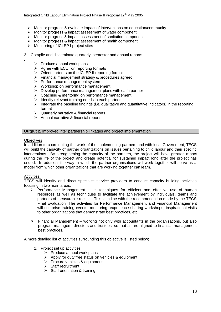- $\triangleright$  Monitor progress & evaluate impact of interventions on education/community
- Monitor progress & impact assessment of water component
- Monitor progress & impact assessment of sanitation component
- Monitor progress & impact assessment of health component
- > Monitoring of ICLEP I project sites
- 3. Compile and disseminate quarterly, semester and annual reports.
	- $\triangleright$  Produce annual work plans
	- $\triangleright$  Agree with ECLT on reporting formats
	- $\triangleright$  Orient partners on the ICLEP II reporting format<br> $\triangleright$  Financial management strategy & procedures ac
	- Financial management strategy & procedures agreed
	- $\triangleright$  Performance management system
	- $\triangleright$  Workshop on performance management
	- $\triangleright$  Develop performance management plans with each partner
	- $\triangleright$  Coaching & mentoring on performance management
	- $\triangleright$  Identify relevant training needs in each partner
	- Integrate the baseline findings (i.e. qualitative and quantitative indicators) in the reporting format
	- $\triangleright$  Quarterly narrative & financial reports
	- $\triangleright$  Annual narrative & financial reports

#### **Output 2.** Improved inter partnership linkages and project implementation

#### **Objectives**

.

In addition to coordinating the work of the implementing partners and with local Government, TECS will build the capacity of partner organizations on issues pertaining to child labour and their specific interventions. By strengthening the capacity of the partners, the project will have greater impact during the life of the project and create potential for sustained impact long after the project has ended. In addition, the way in which the partner organisations will work together will serve as a model from which other organizations that are working together can learn.

#### Activities:

TECS will identify and direct specialist service providers to conduct capacity building activities focusing in two main areas:

- $\triangleright$  Performance Management i.e. techniques for efficient and effective use of human resources as well as techniques to facilitate the achievement by individuals, teams and partners of measurable results. This is in line with the recommendation made by the TECS Final Evaluation. The activities for Performance Management and Financial Management will comprise training events, mentoring, experience-sharing workshops, inspirational visits to other organizations that demonstrate best practices, etc.
- $\triangleright$  Financial Management working not only with accountants in the organizations, but also program managers, directors and trustees, so that all are aligned to financial management best practices.

A more detailed list of activities surrounding this objective is listed below;

- 1. Project set up activities
	- $\triangleright$  Produce annual work plans
	- $\triangleright$  Apply for duty free status on vehicles & equipment
	- $\triangleright$  Procure vehicles & equipment
	- $\triangleright$  Staff recruitment
	- $\triangleright$  Staff orientation & training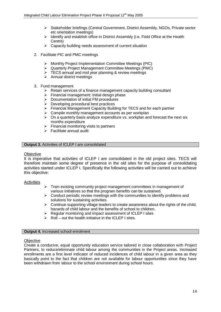- Stakeholder briefings (Central Government, District Assembly, NGOs, Private sector etc orientation meetings)
- $\triangleright$  Identify and establish office in District Assembly (i.e. Field Office at the Health Centre)
- $\triangleright$  Capacity building needs assessment of current situation
- 2. Facilitate PIC and PMC meetings
	- Monthly Project Implementation Committee Meetings (PIC)
	- Quarterly Project Management Committee Meetings (PMC)
	- $\triangleright$  TECS annual and mid year planning & review meetings
	- $\triangleright$  Annual district meetings
- 3. Fund management
	- $\triangleright$  Retain services of a finance management capacity building consultant
	- $\triangleright$  Financial management: Initial design phase
	- $\triangleright$  Documentation of initial FM procedures
	- $\triangleright$  Developing procedural best practices
	- Financial Management Capacity Building for TECS and for each partner
	- $\triangleright$  Compile monthly management accounts as per workplan
	- $\triangleright$  On a quarterly basis analyze expenditure vs. workplan and forecast the next six months expenditure
	- $\triangleright$  Financial monitoring visits to partners
	- $\triangleright$  Facilitate annual audit

## **Output 3. Activities of ICLEP I are consolidated**

#### **Objective**

It is imperative that activities of ICLEP I are consolidated in the old project sites. TECS will therefore maintain some degree of presence in the old sites for the purpose of consolidating activities started under ICLEP I. Specifically the following activities will be carried out to achieve this objective:

#### **Activities**

- $\triangleright$  Train existing community project management committees in management of various initiatives so that the program benefits can be sustained.
- $\triangleright$  Conduct periodic review meetings with the communities to identify problems and solutions for sustaining activities.
- $\triangleright$  Continue supporting village leaders to create awareness about the rights of the child, hazards of child labour and the benefits of school to children.
- $\triangleright$  Regular monitoring and impact assessment of ICLEP I sites
- $\triangleright$  Roll out the health initiative in the ICLEP I sites.

#### **Output 4. Increased school enrolment**

#### **Objective**

Create a conducive, equal opportunity education service tailored in close collaboration with Project Partners, to reduce/eliminate child labour among the communities in the Project areas. Increased enrollments are a first level indicator of reduced incidences of child labour in a given area as they basically point to the fact that children are not available for labour opportunities since they have been withdrawn from labour to the school environment during school hours.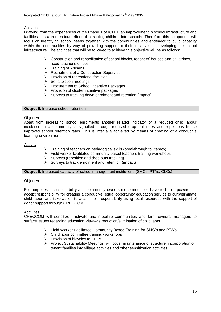### **Activities**

Drawing from the experiences of the Phase 1 of ICLEP an improvement in school infrastructure and facilities has a tremendous effect of attracting children into schools. Therefore this component will focus on identifying school needs together with the communities and endeavor to build capacity within the communities by way of providing support to their initiatives in developing the school infrastructure. The activities that will be followed to achieve this objective will be as follows:

- $\triangleright$  Construction and rehabilitation of school blocks, teachers' houses and pit latrines, head teacher"s offices.
- $\triangleright$  Training of Artisans
- **▶ Recruitment of a Construction Supervisor**
- $\triangleright$  Provision of recreational facilities
- $\triangleright$  Sensitization meetings
- $\triangleright$  Procurement of School Incentive Packages.
- $\triangleright$  Provision of cluster incentive packages
- $\triangleright$  Surveys to tracking down enrolment and retention (impact)

#### **Output 5.** Increase school retention

#### **Objective**

Apart from increasing school enrolments another related indicator of a reduced child labour incidence in a community is signalled through reduced drop out rates and repetitions hence improved school retention rates. This is inter alia achieved by means of creating of a conducive learning environment.

#### Activity

- $\triangleright$  Training of teachers on pedagogical skills (breakthrough to literacy)
- $\triangleright$  Field worker facilitated community based teachers training workshops
- $\triangleright$  Surveys (repetition and drop outs tracking)
- $\triangleright$  Surveys to track enrolment and retention (impact)

#### **Output 6.** Increased capacity of school management institutions (SMCs, PTAs, CLCs)

#### **Objective**

For purposes of sustainability and community ownership communities have to be empowered to accept responsibility for creating a conducive; equal opportunity education service to curb/eliminate child labor; and take action to attain their responsibility using local resources with the support of donor support through CRECCOM.

## **Activities**

CRECCOM will sensitize, motivate and mobilize communities and farm owners/ managers to surface issues regarding education Vis-a-vis reduction/elimination of child labor;

- Field Worker Facilitated Community Based Training for SMC"s and PTA"s.
- $\triangleright$  Child labor committee training workshops
- $\triangleright$  Provision of bicycles to CLCs.
- Project Sustainability Meetings: will cover maintenance of structure, incorporation of tenant families into village activities and other sensitization activities.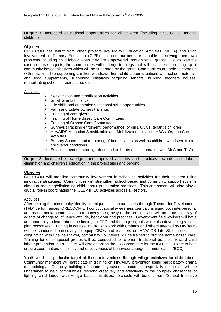**Output 7.** Increased educational opportunities for all children (including girls, OVCs, tenants children)

#### **Objective**

CRECCOM has learnt from other projects like Malawi Education Activities (MESA) and Civic Involvement in Primary Education (CIPE) that communities are capable of solving their own problems including child labour when they are empowered through small grants. Just as was the case in those projects, the communities will undergo trainings that will facilitate the coming up of community based initiatives which will be supported by the grant. Communities are able to come up with initiatives like supporting children withdrawn from child labour situations with school materials and food supplements, supporting initiatives targeting tenants, building teachers houses, rehabilitating school infrastructures etc;

#### **Activities**

- $\triangleright$  Sensitization and mobilization activities
- $\triangleright$  Small Grants Initiative
- $\triangleright$  Life skills and orientation vocational skills opportunities
- $\triangleright$  Farm and Estate owners trainings
- $\triangleright$  Training of care givers
- > Training of Home Based Care Committees
- > Training of Orphan Care Committees
- $\triangleright$  Surveys (Tracking enrolment, performance, of girls, OVCs, tenant's children)
- HIV/AIDS Mitigation Sensitization and Mobilization activities: HBCs, Orphan Care Activities.
- $\triangleright$  Bursary Scheme and mentoring of beneficiaries as well as children withdrawn from child labor conditions.
- $\triangleright$  Establishment of model gardens and orchards (in collaboration with MoA and TLC)

**Output 8.** Increased knowledge and improved attitudes and practices towards child labour elimination and children"s education in the project sites and beyond

#### **Objective**

CRECCOM will mobilise community involvement in schooling activities for their children using innovative strategies. Communities will strengthen school-based and community support systems aimed at reducing/eliminating child labour proliferation practices. This component will also play a crucial role in coordinating the ICLEP II IEC activities across all sectors.

#### Activities

After helping the community identify its unique child labour issues through Theatre for Development (TFD) performances, CRECCOM will conduct social awareness campaigns using both interpersonal and mass media communication to convey the gravity of the problem and will promote an array of agents of change to influence attitude, behaviour and practices. Government field workers will have an opportunity to learn about the findings of TFD and the project goals while also developing skills to plan responses. Training in counselling skills to work with orphans and others affected by HIV/AIDS will be conducted particularly to equip CBOs and teachers on HIV/AIDS Life Skills issues. In conjunction with Lifeline Malawi, community volunteers will be trained to provide home based care. Training for other special groups will be conducted to re-orient traditional practices toward child labour prevention. CRECCOM will also establish the IEC Committee for the ICLEP II Project to help ensure coordination, efficiency and effectiveness of behaviour change communication (BCC).

Youth will be a particular target of these interventions through village initiatives for child labour. Community members will participate in training on HIV/AIDS prevention using participatory drama methodology. Capacity building of community-based structures – especially schools – will be undertaken to help communities respond creatively and effectively to the complex challenges of fighting child labour with village based initiatives. Schools will benefit from "School Incentive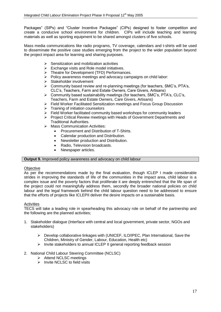Packages" (SIPs) and "Cluster Incentive Packages" (CIPs) designed to foster competition and create a conducive school environment for children. CIPs will include teaching and learning materials as well as sporting equipment to be shared amongst clusters of five schools.

Mass media communications like radio programs, TV coverage, calendars and t-shirts will be used to disseminate the positive case studies emerging from the project to the wider population beyond the project impact area for learning and sharing purposes.

- $\triangleright$  Sensitization and mobilization activities
- $\triangleright$  Exchange visits and Role model initiatives.
- > Theatre for Development (TFD) Performances.
- $\triangleright$  Policy awareness meetings and advocacy campaigns on child labor:
- $\triangleright$  Stakeholder involvement
- $\triangleright$  Community based review and re-planning meetings (for teachers, SMC's, PTA's, CLC"s, Teachers, Farm and Estate Owners, Care Givers, Artisans)
- Community based sustainability meetings (for teachers, SMC"s, PTA"s, CLC"s, Teachers, Farm and Estate Owners, Care Givers, Artisans)
- Field Worker Facilitated Sensitization meetings and Focus Group Discussion
- $\triangleright$  Training of initiation counselors
- $\triangleright$  Field Worker facilitated community based workshops for community leaders
- $\triangleright$  Project Critical Review meetings with Heads of Government Departments and Traditional Authorities.
- $\triangleright$  Mass Communication Activities:
	- Procurement and Distribution of T-Shirts.
	- Calendar production and Distribution.
	- Newsletter production and Distribution.
	- Radio, Television broadcasts.
	- Newspaper articles.

#### **Output 9.** Improved policy awareness and advocacy on child labour

#### **Objective**

As per the recommendations made by the final evaluation, though ICLEP I made considerable strides in improving the standards of life of the communities in the impact area, child labour is a complex issue and the poverty factors that proliferate it are deeply entrenched that the life span of the project could not meaningfully address them, secondly the broader national policies on child labour and the legal framework behind the child labour question need to be addressed to ensure that the efforts of projects like ICLEPII deliver the desire impacts on a sustainable basis.

#### Activities

TECS will take a leading role in spearheading this advocacy role on behalf of the partnership and the following are the planned activities;

- 1. Stakeholder dialogue (Interface with central and local government, private sector, NGOs and stakeholders)
	- $\triangleright$  Develop collaborative linkages with (UNICEF, ILO/IPEC, Plan International, Save the Children, Ministry of Gender, Labour, Education, Health etc)
	- $\triangleright$  Invite stakeholders to annual ICLEP II general reporting feedback session
- 2. National Child Labour Steering Committee (NCLSC)
	- $\triangleright$  Attend NCLSC meetings
		- $\triangleright$  Invite NCLSC to field visits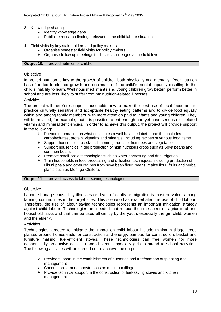- 3. Knowledge sharing
	- $\triangleright$  Identify knowledge gaps
	- $\triangleright$  Publicise research findings relevant to the child labour situation

### 4. Field visits by key stakeholders and policy makers

- $\triangleright$  Organise semester field visits for policy makers
- $\triangleright$  Organise follow up meetings to discuss challenges at the field level

#### **Output 10.** Improved nutrition of children

### **Objective**

Improved nutrition is key to the growth of children both physically and mentally. Poor nutrition has often led to stunted growth and decimation of the child"s mental capacity resulting in the child"s inability to learn. Well nourished infants and young children grow better, perform better in school and are less likely to suffer from malnutrition-related illnesses.

#### **Activities**

The project will therefore support households how to make the best use of local foods and to practice culturally sensitive and acceptable healthy eating patterns and to divide food equally within and among family members, with more attention paid to infants and young children. They will be advised, for example, that it is possible to eat enough and yet have serious diet-related vitamin and mineral deficiencies. In order to achieve this output, the project will provide support in the following:

- $\triangleright$  Provide information on what constitutes a well balanced diet one that includes carbohydrates, protein, vitamins and minerals, including recipes of various food items.
- $\triangleright$  Support households to establish home gardens of fruit trees and vegetables.
- $\triangleright$  Support households in the production of high nutritious crops such as Soya beans and common beans.
- $\triangleright$  Promote small-scale technologies such as water harvesting and drip irrigation.
- $\triangleright$  Train households in food processing and utilization techniques, including production of Likuni phala and other recipes from soya bean flour, beans, maize flour, fruits and herbal plants such as Moringa Oleifera.

#### **Output 11.** Improved access to labour saving technologies

## **Objective**

Labour shortage caused by illnesses or death of adults or migration is most prevalent among farming communities in the target sites. This scenario has exacerbated the use of child labour. Therefore, the use of labour saving technologies represents an important mitigation strategy against child labour. Technologies are needed that reduce the time spent on agricultural and household tasks and that can be used efficiently by the youth, especially the girl child, women and the elderly.

#### **Activities**

Technologies targeted to mitigate the impact on child labour include minimum tillage, trees planted around homesteads for construction and energy, bamboo for construction, basket and furniture making, fuel-efficient stoves. These technologies can free women for more economically productive activities and children, especially girls to attend to school activities. The following activities will be carried out to achieve the output:

- $\triangleright$  Provide support in the establishment of nurseries and tree/bamboo outplanting and management
- $\triangleright$  Conduct on-farm demonstrations on minimum tillage
- $\triangleright$  Provide technical support in the construction of fuel-saving stoves and kitchen management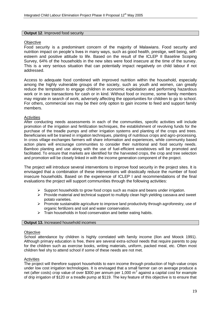#### **Output 12**. Improved food security

#### **Objective**

Food security is a predominant concern of the majority of Malawians. Food security and nutrition impact on people"s lives in many ways, such as good health, prestige, well being, selfesteem and positive attitude to life. Based on the result of the ICLEP II Baseline Scoping Survey, 64% of the households in the new sites were food insecure at the time of the survey. This is a very serious situation that can potentially impact negatively on child labour if not addressed.

Access to adequate food combined with improved nutrition within the household, especially among the highly vulnerable groups of the society, such as youth and women, can greatly reduce the temptation to engage children in economic exploitation and performing hazardous work or in sex transactions for cash or in kind. Without food or income, some family members may migrate in search of work, adversely affecting the opportunities for children to go to school. For others, commercial sex may be their only option to gain income to feed and support family members.

#### **Activities**

After conducting needs assessments in each of the communities, specific activities will include promotion of the irrigation and fertilization techniques, the establishment of revolving funds for the purchase of the treadle pumps and other irrigation systems and planting of the crops and trees. Beneficiaries will be trained in irrigation techniques, planting of nutritious crops and agro-processing. In cross village exchanges farmers will share information and experiences, while community based action plans will encourage communities to consider their nutritional and food security needs. Bamboo planting and use along with the use of fuel-efficient woodstoves will be promoted and facilitated. To ensure that markets are identified for the harvested crops, the crop and tree selection and promotion will be closely linked in with the income generation component of the project.

The project will introduce several interventions to improve food security in the project sites. It is envisaged that a combination of these interventions will drastically reduce the number of food insecure households. Based on the experience of ICLEP I and recommendations of the final evaluations the project will support communities through the following activities:

- $\triangleright$  Support households to grow food crops such as maize and beans under irrigation.
- $\triangleright$  Provide material and technical support to multiply clean high yielding cassava and sweet potato varieties.
- $\triangleright$  Promote sustainable agriculture to improve land productivity through agroforestry, use of organic fertilizers and soil and water conservation.
- $\triangleright$  Train households in food conservation and better eating habits.

#### **Output 13.** Increased household incomes

#### **Objective**

School attendance by children is highly correlated with family income (Ilon and Moock 1991). Although primary education is free, there are several extra-school needs that require parents to pay for the children such as exercise books, writing materials, uniform, packed meal, etc. Often most children feel shy to attend school if some of these needs are not met.

#### **Activities**

The project will therefore support households to earn income through production of high-value crops under low cost irrigation technologies. It is envisaged that a small farmer can on average produce a net (after costs) crop value of over \$300 per annum per 1,000 m<sup>2</sup> against a capital cost for example of drip irrigation of \$120 or a treadle pump at \$119. The key feature of this objective is to ensure that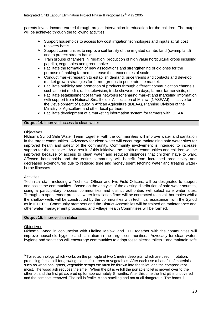parents invest income earned through project intervention in education for the children. The output will be achieved through the following activities:

- $\triangleright$  Support households to access low cost irrigation technologies and inputs at full cost recovery basis.
- $\triangleright$  Support communities to improve soil fertility of the irrigated dambo land (swamp land) and to protect stream banks.
- $\triangleright$  Train groups of farmers in irrigation, production of high value horticultural crops including paprika, vegetables and green maize.
- $\triangleright$  Facilitate the formation of new associations and strengthening of old ones for the purpose of making farmers increase their economies of scale.
- $\triangleright$  Conduct market research to establish demand, price trends and contacts and develop market growth strategies for farmer groups to penetrate the market.
- $\triangleright$  Facilitate publicity and promotion of products through different communication channels such as print media, radio, television, trade shows/open days, farmer-farmer visits, etc.
- $\triangleright$  Facilitate establishment of farmer networks for sharing market and marketing information with support from National Smallholder Association of Malawi (NASFAM), Initiative for the Development of Equity in African Agriculture (IDEAA), Planning Division of the Ministry of Agriculture and other local partners.
- $\triangleright$  Facilitate development of a marketing information system for farmers with IDEAA.

#### **Output 14.** Improved access to clean water

#### **Objectives**

Nkhoma Synod Safe Water Team, together with the communities will improve water and sanitation in the target communities. Advocacy for clean water will encourage maintaining safe water sites for improved health and safety of the community. Community involvement is intended to increase support for the initiative. As a result of this initiative, the health of communities and children will be improved because of access to clean water and reduced distances that children have to walk. Affected households and the entire community will benefit from increased productivity and decreased expenditures due to reduced time and money spent fetching water and treating waterborne illnesses.

## Activities

Technical staff, including a Technical Officer and two Field Officers, will be designated to support and assist the communities. Based on the analysis of the existing distribution of safe water sources, using a participatory process communities and district authorities will select safe water sites. Through an open tender process, water installation firms will be contracted to install boreholes whilst the shallow wells will be constructed by the communities with technical assistance from the Synod as in ICLEP I. Community members and the District Assemblies will be trained on maintenance and other water management processes, and Village Health Committees will be formed.

#### **Output 15. Improved sanitation**

#### **Objectives**

 $\overline{a}$ 

Nkhoma Synod in conjunction with Lifeline Malawi and TLC together with the communities will improve household hygiene and sanitation in the target communities. Advocacy for clean water, hygiene and sanitation will encourage communities to adopt fossa alterna toilets <sup>10</sup>and maintain safe

 $10$ Toilet technology which works on the principle of two 1 metre deep pits, which are used in rotation, producing fertile soil for growing plants, fruit trees or vegetables. After each use a handful of materials such as wood ash, grass, vegetable scraps etc must be thrown into the toilet, and the compost kept moist. The wood ash reduces the smell. When the pit is ¾ full the portable toilet is moved over to the other pit and the first pit covered up for approximately 6 months. After this time the first pit is uncovered and the compost removed. The soil is fertile, clean-smelling and not at all dangerous. The harmful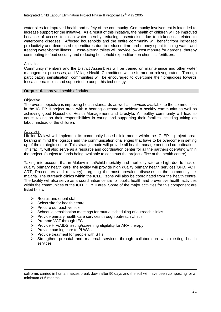water sites for improved health and safety of the community. Community involvement is intended to increase support for the initiative. As a result of this initiative, the health of children will be improved because of access to clean water thereby reducing absenteeism due to sicknesses related to waterborne diseases. Affected households and the entire community will benefit from increased productivity and decreased expenditures due to reduced time and money spent fetching water and treating water-borne illness. Fossa-alterna toilets will provide low-cost manure for gardens, thereby contributing to food security and reducing household expenditure on chemical fertilizers.

#### **Activities**

Community members and the District Assemblies will be trained on maintenance and other water management processes, and Village Health Committees will be formed or reinvogorated. Through participatory sensitisation, communities will be encouraged to overcome their prejudices towards fossa alterna toilets and supported to adopt this technology.

#### **Output 16. Improved health of adults**

#### **Objective**

The overall objective is improving health standards as well as services available to the communities in the ICLEP II project area, with a bearing outcome to achieve a healthy community as well as achieving good Household Health Management and Lifestyle. A healthy community will lead to adults taking on their responsibilities in caring and supporting their families including taking on labour instead of the children.

#### Activities

<u>.</u>

Lifeline Malawi will implement its community based clinic model within the ICLEP II project area, bearing in mind the logistics and the communication challenges that have to be overcome in setting up of the strategic centre. This strategic node will provide all health management and co-ordination . This facility will also serve as a resource and coordination center for all the partners operating within the project. (subject to funds being available to construct the project office at the health centre)

Taking into account that in Malawi infant/child mortality and morbidity rate are high due to lack of quality primary health care, the facility will provide high quality primary health services(OPD, VCT, ART, Procedures and recovery), targeting the most prevalent diseases in the community i.e. malaria. The outreach clinics within the ICLEP zone will also be coordinated from the health centre. The facility will also serve as a coordination centre for public health and preventive health activities within the communities of the ICLEP I & II area. Some of the major activities for this component are listed below;

- $\triangleright$  Recruit and orient staff
- $\triangleright$  Select site for health centre
- $\triangleright$  Procure outreach vehicle
- $\triangleright$  Schedule sensitisation meetings for mutual scheduling of outreach clinics
- $\triangleright$  Provide primary health care services through outreach clinics
- $\triangleright$  Promote VCT through IEC
- $\triangleright$  Provide HIV/AIDS testing/screening eligibility for ARV therapy
- $\triangleright$  Provide nursing care to PLWAs
- $\triangleright$  Provide treatment for people with STIs
- $\triangleright$  Strengthen prenatal and maternal services through collaboration with existing health services

coliforms carried in human faeces break down after 90 days and the soil will have been composting for a minimum of 6 months.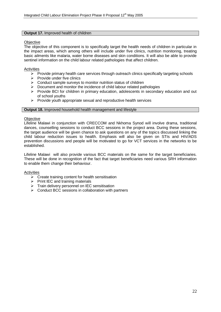#### **Output 17.** Improved health of children

#### **Objective**

The objective of this component is to specifically target the health needs of children in particular in the impact areas, which among others will include under five clinics, nutrition monitoring, treating basic ailments like malaria, water borne diseases and skin conditions. It will also be able to provide sentinel information on the child labour related pathologies that affect children.

#### Activities

- $\triangleright$  Provide primary health care services through outreach clinics specifically targeting schools
- $\triangleright$  Provide under five clinics
- $\triangleright$  Conduct sample surveys to monitor nutrition status of children
- $\triangleright$  Document and monitor the incidence of child labour related pathologies
- $\triangleright$  Provide BCI for children in primary education, adolescents in secondary education and out of school youths
- $\triangleright$  Provide youth appropriate sexual and reproductive health services

#### **Output 18.** Improved household health management and lifestyle

#### **Objective**

Lifeline Malawi in conjunction with CRECCOM and Nkhoma Synod will involve drama, traditional dances, counselling sessions to conduct BCC sessions in the project area. During these sessions, the target audience will be given chance to ask questions on any of the topics discussed linking the child labour reduction issues to health. Emphasis will also be given on STIs and HIV/ADS prevention discussions and people will be motivated to go for VCT services in the networks to be established.

Lifeline Malawi will also provide various BCC materials on the same for the target beneficiaries. These will be done in recognition of the fact that target beneficiaries need various SRH information to enable them change their behaviour.

#### Activities

- $\triangleright$  Create training content for health sensitisation
- $\triangleright$  Print IEC and training materials
- $\triangleright$  Train delivery personnel on IEC sensitisation
- $\triangleright$  Conduct BCC sessions in collaboration with partners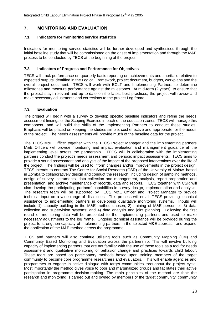## **7. MONITORING AND EVALUATION**

## **7.1. Indicators for monitoring service statistics**

Indicators for monitoring service statistics will be further developed and synthesised through the initial baseline study that will be commissioned on the onset of implementation and through the M&E process to be conducted by TECS at the beginning of the project.

## **7.2. Indicators of Progress and Performance for Objectives**

TECS will track performance on quarterly basis reporting on achievements and shortfalls relative to expected outputs identified in the Logical Framework, project document, budgets, workplans and the overall project document. TECS will work with ECLT and Implementing Partners to determine milestones and measure performance against the milestones. At mid-term (2 years), to ensure that the project stays relevant and up-to-date on the latest best practices, the project will review and make necessary adjustments and corrections to the project Log frame.

## **7.3. Evaluation**

The project will begin with a survey to develop specific baseline indicators and refine the needs assessment findings of the Scoping Exercise in each of the education zones. TECS will manage this component, and will build the skills of the Implementing Partners to conduct these studies. Emphasis will be placed on keeping the studies simple, cost effective and appropriate for the needs of the project. The needs assessments will provide much of the baseline data for the project.

The TECS M&E Officer together with the TECS Project Manager and the implementing partners M&E Officers will provide monitoring and impact evaluation and management guidance at the implementing level across the partnership. TECS will in collaboration with the implementing partners conduct the project"s needs assessment and periodic impact assessments. TECS aims to provide a sound assessment and analysis of the impact of the proposed interventions over the life of the project. The findings will be used to inform changes and/or improvements in the project design. TECS intends to contract The Centre for Social Research (CSR) of the University of Malawi based in Zomba to collaboratively design and conduct the research, including design of sampling methods, design of survey instruments, data collection and management, analysis, report preparation and presentation, and archive maintenance of records, data and reports. TECS together with CSR will also develop the participating partners" capabilities in survey design, implementation and analysis. The research team will be supported by TECS M&E Officer and Project Manager to provide technical input on a wide range of disciplines. This process will entail; TECS providing technical assistance to implementing partners in developing qualitative monitoring systems. Inputs will include 1) capacity building in the M&E method chosen; 2) training of M&E personnel; 3) data collection and supervision systems; and 4) data analysis and joint planning. Following the first round of monitoring data will be presented to the implementing partners and used to make necessary adjustments to the log frame. Ongoing technical assistance will be provided during the project to strengthen capacity of implementing partners in the selected M&E approach and expand the application of the M&E method across the programme.

TECS and partners will also continue utilising tools such as Community Mapping (CM) and Community Based Monitoring and Evaluation across the partnership. This will involve building capacity of implementing partners that are not familiar with the use of these tools as a tool for needs assessment and qualitative monitoring of behavior change and practices towards child labour. These tools are based on participatory methods based upon training members of the target community to become core programme researchers and evaluators. This will enable agencies and programmes to engage in active dialogue with target communities throughout the project cycle. Most importantly the method gives voice to poor and marginalized groups and facilitates their active participation in programme decision-making. The main principles of the method are that: the research and monitoring is carried out and owned by members of the target community; community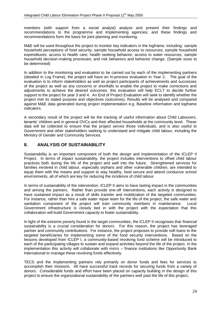members (with support from a social analyst) analyze and present their findings and recommendations to the programme and implementing agencies; and these findings and recommendations form the basis for joint planning and monitoring.

M&E will be used throughout the project to monitor key indicators in the logframe, including: sample household perceptions of food security; sample household access to resources; sample household expenditures; access to health care; health seeking behavior; access to water resources; sample household decision-making processes; and risk behaviors and behavior change. (Sample sizes to be determined)

In addition to the monitoring and evaluation to be carried out by each of the implementing partners (detailed in Log Frame), the project will have an In-process evaluation in Year 2. The goal of the evaluation is to inform stakeholders as well as project participants of achievements and successes of the project as well as any concerns or shortfalls to enable the project to make corrections and adjustments to achieve the desired outcomes, this evaluation will help ECLT to decide further support to the project for year 3 and 4. An End of Project Evaluation will seek to identify whether the project met its stated purpose and objectives (outcomes). Results will be analysed and compared against M&E data generated during project implementation e.g. Baseline information and logframe indicators.

A secondary result of the project will be the tracking of useful information about Child Labourers, tenants" children and in general OVCs and their affected households at the community level. These data will be collected to ensure that the project serves those individuals, and is also useful to Government and other stakeholders seeking to understand and mitigate child labour, including the Ministry of Gender and Community Services.

## **8. ANALYSIS OF SUSTAINABILITY**

Sustainability is an important component of both the design and implementation of the ICLEP II Project. In terms of *impact* sustainability, the project includes interventions to offset child labour practices both during the life of the project and well into the future. Strengthened services for families involved in child labour, especially orphans and other vulnerable children, are intended to equip them with the means and support to stay healthy, food secure and attend conducive school environments, all of which are key for reducing the incidence of child labour.

In terms of sustainability of the *intervention*, ICLEP II aims to have lasting impact in the communities and among the partners. Rather than provide one-off interventions, each activity is designed to have sustained impact as a result of skills transfer and mobilization of the targeted communities. For instance, rather than hire a safe water repair team for the life of the project, the safe water and sanitation component of the project will train community members in maintenance. Local Government infrastructure is closely tied in with the project with the expectation that this collaboration will build Government capacity to foster sustainability.

In light of the extreme poverty found in the target communities, the ICLEP II recognises that *financial* sustainability is a crucial consideration for donors. For this reason, the project has leveraged partner and community contributions. For instance, the project proposes to provide soft loans to the targeted beneficiaries for implementing some of the food security interventions. Based on the lessons developed from ICLEP I, a community-based revolving fund scheme will be introduced to each of the participating villages to sustain and expand activities beyond the life of the project. In the implementation this activity will collaborate with micro – finance institutions like Opportunity Bank International to manage these revolving funds effectively.

TECS and the implementing partners rely primarily on donor funds and fees for services to accomplish their missions. All have successful track records for securing funds from a variety of donors. Considerable funds and effort have been placed on capacity building in the design of this project to ensure the organizational sustainability of the partners well past the life of this project.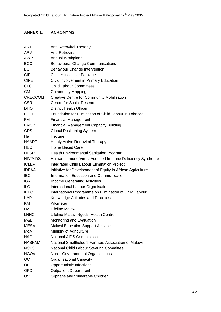#### **ANNEX 1. ANNEX 1. ACRONYMS**

| ART             | Anti Retroviral Therapy                                     |
|-----------------|-------------------------------------------------------------|
| <b>ARV</b>      | Anti-Retroviral                                             |
| <b>AWP</b>      | Annual Workplans                                            |
| <b>BCC</b>      | <b>Behavioural Change Communications</b>                    |
| <b>BCI</b>      | <b>Behaviour Change Intervention</b>                        |
| <b>CIP</b>      | <b>Cluster Incentive Package</b>                            |
| <b>CIPE</b>     | Civic Involvement in Primary Education                      |
| <b>CLC</b>      | <b>Child Labour Committees</b>                              |
| <b>CM</b>       | <b>Community Mapping</b>                                    |
| <b>CRECCOM</b>  | <b>Creative Centre for Community Mobilisation</b>           |
| <b>CSR</b>      | <b>Centre for Social Research</b>                           |
| <b>DHO</b>      | <b>District Health Officer</b>                              |
| <b>ECLT</b>     | Foundation for Elimination of Child Labour in Tobacco       |
| <b>FM</b>       | <b>Financial Management</b>                                 |
| <b>FMCB</b>     | <b>Financial Management Capacity Building</b>               |
| <b>GPS</b>      | <b>Global Positioning System</b>                            |
| Ha              | Hectare                                                     |
| <b>HAART</b>    | <b>Highly Active Retroviral Therapy</b>                     |
| <b>HBC</b>      | Home Based Care                                             |
| <b>HESP</b>     | <b>Health Environmental Sanitation Program</b>              |
| <b>HIV/AIDS</b> | Human Immune Virus/ Acquired Immune Deficiency Syndrome     |
| <b>ICLEP</b>    | Integrated Child Labour Elimination Project                 |
| <b>IDEAA</b>    | Initiative for Development of Equity in African Agriculture |
| <b>IEC</b>      | Information Education and Communication                     |
| <b>IGA</b>      | <b>Income Generating Activities</b>                         |
| <b>ILO</b>      | International Labour Organisation                           |
| <b>IPEC</b>     | International Programme on Elimination of Child Labour      |
| <b>KAP</b>      | Knowledge Attitudes and Practices                           |
| KM              | Kilometer                                                   |
| LM              | Lifeline Malawi                                             |
| <b>LNHC</b>     | Lifeline Malawi Ngodzi Health Centre                        |
| M&E             | Monitoring and Evaluation                                   |
| <b>MESA</b>     | <b>Malawi Education Support Activities</b>                  |
| <b>MoA</b>      | Ministry of Agriculture                                     |
| <b>NAC</b>      | <b>National AIDS Commission</b>                             |
| <b>NASFAM</b>   | National Smallholders Farmers Association of Malawi         |
| <b>NCLSC</b>    | National Child Labour Steering Committee                    |
| <b>NGOs</b>     | Non - Governmental Organisations                            |
| OC              | <b>Organisational Capacity</b>                              |
| ЮI              | Opportunistic Infections                                    |
| <b>OPD</b>      | <b>Outpatient Department</b>                                |
| <b>OVC</b>      | Orphans and Vulnerable Children                             |